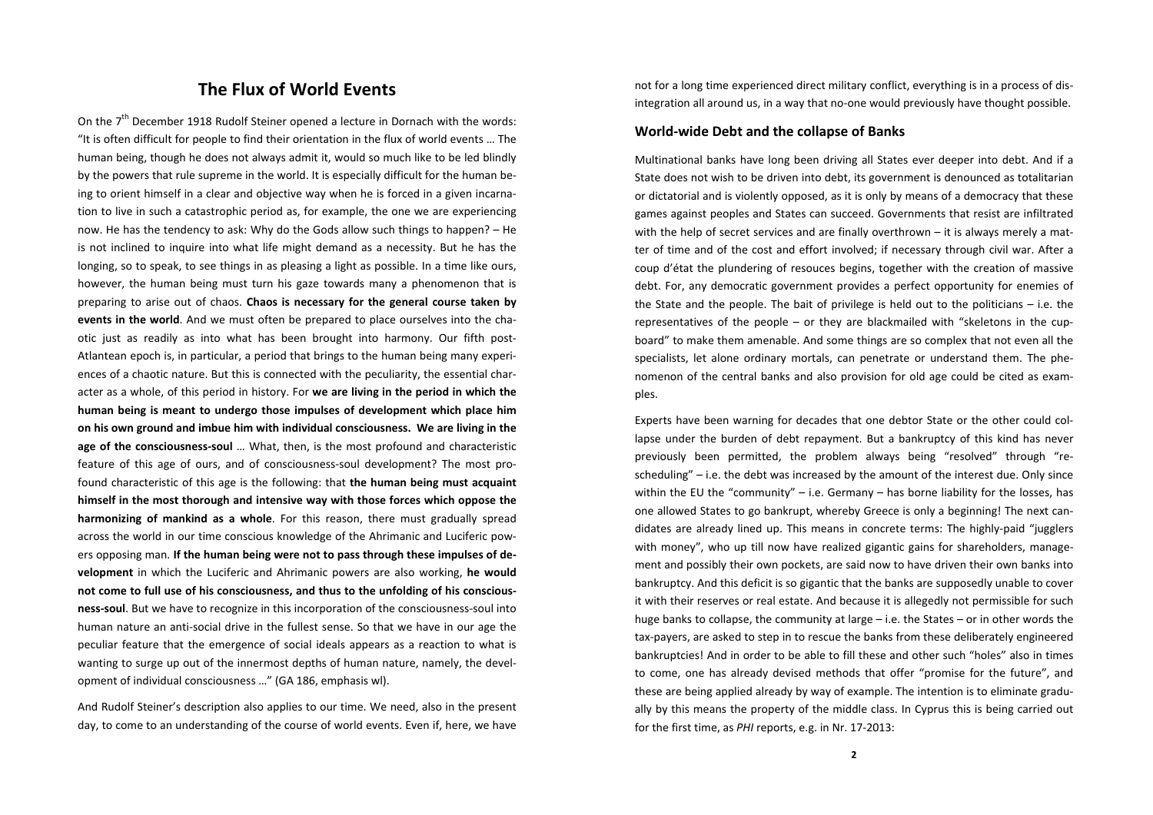## **The Flux of World Events**

On the  $7<sup>th</sup>$  December 1918 Rudolf Steiner opened a lecture in Dornach with the words: "It is often difficult for people to find their orientation in the flux of world events … The human being, though he does not always admit it, would so much like to be led blindly by the powers that rule supreme in the world. It is especially difficult for the human be‐ ing to orient himself in a clear and objective way when he is forced in a given incarnation to live in such <sup>a</sup> catastrophic period as, for example, the one we are experiencing now. He has the tendency to ask: Why do the Gods allow such things to happen? – He is not inclined to inquire into what life might demand as <sup>a</sup> necessity. But he has the longing, so to speak, to see things in as pleasing <sup>a</sup> light as possible. In <sup>a</sup> time like ours, however, the human being must turn his gaze towards many <sup>a</sup> phenomenon that is preparing to arise out of chaos. **Chaos is necessary for the general course taken by events in the world**. And we must often be prepared to place ourselves into the cha‐ otic just as readily as into what has been brought into harmony. Our fifth post‐ Atlantean epoch is, in particular, <sup>a</sup> period that brings to the human being many experi‐ ences of <sup>a</sup> chaotic nature. But this is connected with the peculiarity, the essential char‐ acter as a whole, of this period in history. For **we are living in the period in which the human being is meant to undergo those impulses of development which place him on his own ground and imbue him with individual consciousness. We are living in the age of the consciousness‐soul** … What, then, is the most profound and characteristic feature of this age of ours, and of consciousness-soul development? The most profound characteristic of this age is the following: that **the human being must acquaint himself in the most thorough and intensive way with those forces which oppose the harmonizing of mankind as <sup>a</sup> whole**. For this reason, there must gradually spread across the world in our time conscious knowledge of the Ahrimanic and Luciferic pow‐ ers opposing man. **If the human being were not to pass through these impulses of de‐ velopment** in which the Luciferic and Ahrimanic powers are also working, **he would not come to full use of his consciousness, and thus to the unfolding of his conscious‐ ness‐soul**. But we have to recognize in this incorporation of the consciousness‐soul into human nature an anti‐social drive in the fullest sense. So that we have in our age the peculiar feature that the emergence of social ideals appears as <sup>a</sup> reaction to what is wanting to surge up out of the innermost depths of human nature, namely, the development of individual consciousness …" (GA 186, emphasis wl).

And Rudolf Steiner's description also applies to our time. We need, also in the present day, to come to an understanding of the course of world events. Even if, here, we have

not for a long time experienced direct military conflict, everything is in <sup>a</sup> process of dis‐ integration all around us, in a way that no-one would previously have thought possible.

## **World‐wide Debt and the collapse of Banks**

Multinational banks have long been driving all States ever deeper into debt. And if <sup>a</sup> State does not wish to be driven into debt, its government is denounced as totalitarian or dictatorial and is violently opposed, as it is only by means of <sup>a</sup> democracy that these games against peoples and States can succeed. Governments that resist are infiltrated with the help of secret services and are finally overthrown – it is always merely <sup>a</sup> mat‐ ter of time and of the cost and effort involved; if necessary through civil war. After <sup>a</sup> coup d'état the plundering of resouces begins, together with the creation of massive debt. For, any democratic government provides <sup>a</sup> perfect opportunity for enemies of the State and the people. The bait of privilege is held out to the politicians – i.e. the representatives of the people – or they are blackmailed with "skeletons in the cupboard" to make them amenable. And some things are so complex that not even all the specialists, let alone ordinary mortals, can penetrate or understand them. The phe‐ nomenon of the central banks and also provision for old age could be cited as exam‐ ples.

Experts have been warning for decades that one debtor State or the other could col‐ lapse under the burden of debt repayment. But <sup>a</sup> bankruptcy of this kind has never previously been permitted, the problem always being "resolved" through "re‐ scheduling" – i.e. the debt was increased by the amount of the interest due. Only since within the EU the "community" – i.e. Germany – has borne liability for the losses, has one allowed States to go bankrupt, whereby Greece is only <sup>a</sup> beginning! The next can‐ didates are already lined up. This means in concrete terms: The highly‐paid "jugglers with money", who up till now have realized gigantic gains for shareholders, manage‐ ment and possibly their own pockets, are said now to have driven their own banks into bankruptcy. And this deficit is so gigantic that the banks are supposedly unable to cover it with their reserves or real estate. And because it is allegedly not permissible for such huge banks to collapse, the community at large – i.e. the States – or in other words the tax‐payers, are asked to step in to rescue the banks from these deliberately engineered bankruptcies! And in order to be able to fill these and other such "holes" also in times to come, one has already devised methods that offer "promise for the future", and these are being applied already by way of example. The intention is to eliminate gradu‐ ally by this means the property of the middle class. In Cyprus this is being carried out for the first time, as *PHI* reports, e.g. in Nr. 17‐2013: